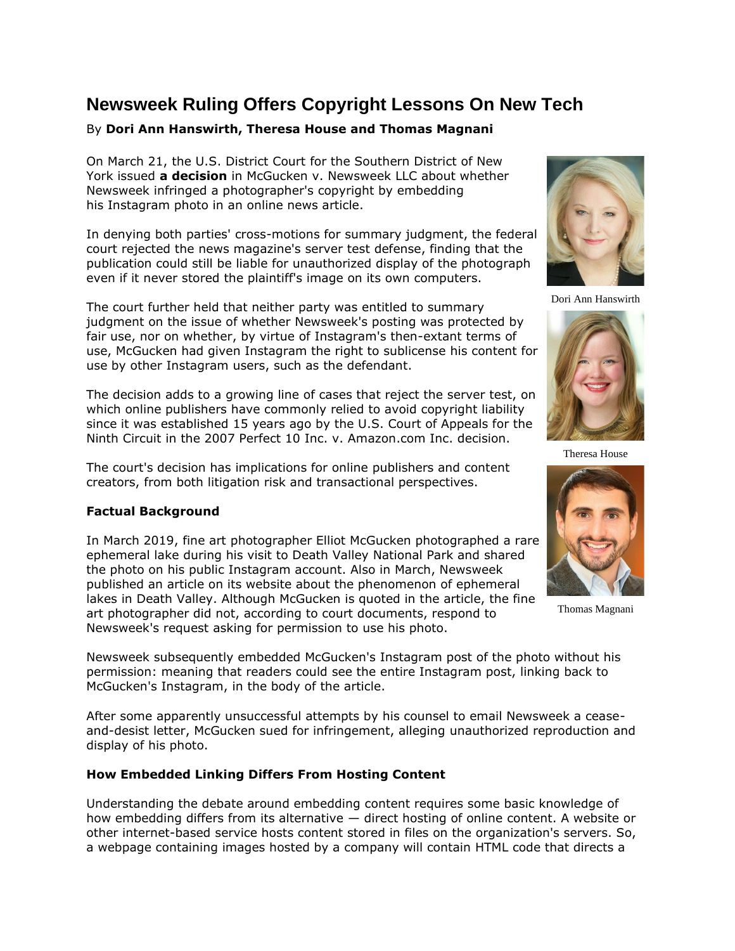# **Newsweek Ruling Offers Copyright Lessons On New Tech**

# By **Dori Ann Hanswirth, Theresa House and Thomas Magnani**

On March 21, the [U.S. District Court for the Southern District of New](https://www.law360.com/agencies/u-s-district-court-for-the-southern-district-of-new-york)  [York](https://www.law360.com/agencies/u-s-district-court-for-the-southern-district-of-new-york) issued **[a decision](https://www.law360.com/articles/1476301/newsweek-can-t-slip-copyright-row-over-instagram-embeds)** in McGucken v. Newsweek LLC about whether Newsweek infringed a photographer's copyright by embedding his [Instagram](https://www.law360.com/companies/instagram-inc) photo in an online news article.

In denying both parties' cross-motions for summary judgment, the federal court rejected the news magazine's server test defense, finding that the publication could still be liable for unauthorized display of the photograph even if it never stored the plaintiff's image on its own computers.

The court further held that neither party was entitled to summary judgment on the issue of whether Newsweek's posting was protected by fair use, nor on whether, by virtue of Instagram's then-extant terms of use, McGucken had given Instagram the right to sublicense his content for use by other Instagram users, such as the defendant.

The decision adds to a growing line of cases that reject the server test, on which online publishers have commonly relied to avoid copyright liability since it was established 15 years ago by the [U.S. Court of Appeals for the](https://www.law360.com/agencies/u-s-court-of-appeals-for-the-ninth-circuit)  [Ninth Circuit](https://www.law360.com/agencies/u-s-court-of-appeals-for-the-ninth-circuit) in the 2007 Perfect 10 Inc. v. [Amazon.com Inc.](https://www.law360.com/companies/amazon-com-inc) decision.

The court's decision has implications for online publishers and content creators, from both litigation risk and transactional perspectives.

## **Factual Background**

In March 2019, fine art photographer Elliot McGucken photographed a rare ephemeral lake during his visit to Death Valley National Park and shared the photo on his public Instagram account. Also in March, Newsweek published an article on its website about the phenomenon of ephemeral lakes in Death Valley. Although McGucken is quoted in the article, the fine art photographer did not, according to court documents, respond to Newsweek's request asking for permission to use his photo.

Newsweek subsequently embedded McGucken's Instagram post of the photo without his permission: meaning that readers could see the entire Instagram post, linking back to McGucken's Instagram, in the body of the article.

After some apparently unsuccessful attempts by his counsel to email Newsweek a ceaseand-desist letter, McGucken sued for infringement, alleging unauthorized reproduction and display of his photo.

## **How Embedded Linking Differs From Hosting Content**

Understanding the debate around embedding content requires some basic knowledge of how embedding differs from its alternative — direct hosting of online content. A website or other internet-based service hosts content stored in files on the organization's servers. So, a webpage containing images hosted by a company will contain HTML code that directs a



Dori Ann Hanswirth



Theresa House



Thomas Magnani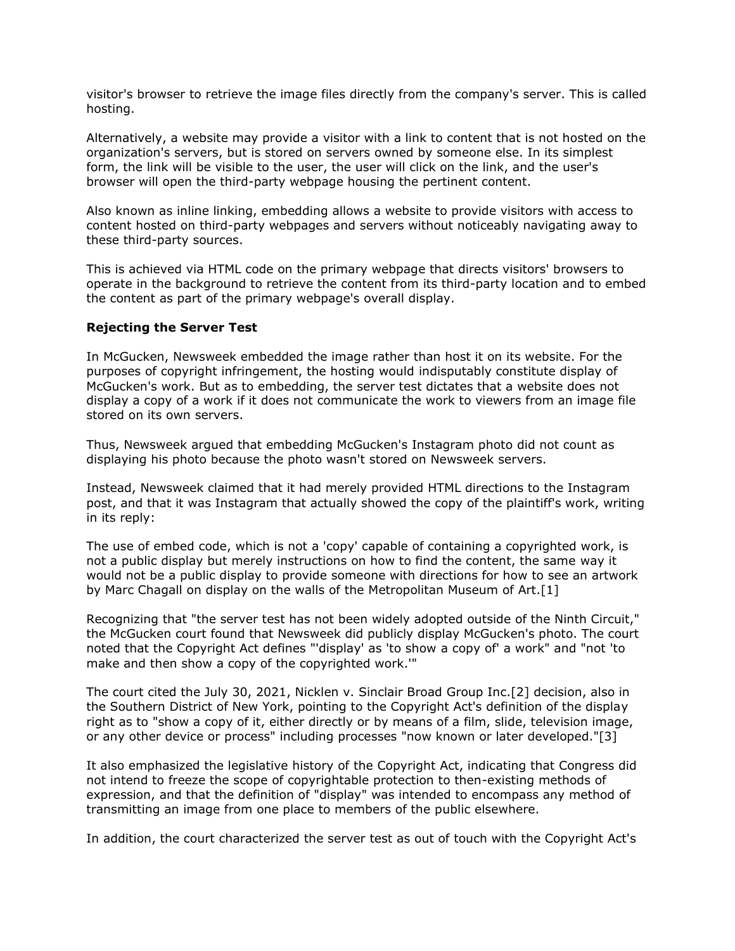visitor's browser to retrieve the image files directly from the company's server. This is called hosting.

Alternatively, a website may provide a visitor with a link to content that is not hosted on the organization's servers, but is stored on servers owned by someone else. In its simplest form, the link will be visible to the user, the user will click on the link, and the user's browser will open the third-party webpage housing the pertinent content.

Also known as inline linking, embedding allows a website to provide visitors with access to content hosted on third-party webpages and servers without noticeably navigating away to these third-party sources.

This is achieved via HTML code on the primary webpage that directs visitors' browsers to operate in the background to retrieve the content from its third-party location and to embed the content as part of the primary webpage's overall display.

## **Rejecting the Server Test**

In McGucken, Newsweek embedded the image rather than host it on its website. For the purposes of copyright infringement, the hosting would indisputably constitute display of McGucken's work. But as to embedding, the server test dictates that a website does not display a copy of a work if it does not communicate the work to viewers from an image file stored on its own servers.

Thus, Newsweek argued that embedding McGucken's Instagram photo did not count as displaying his photo because the photo wasn't stored on Newsweek servers.

Instead, Newsweek claimed that it had merely provided HTML directions to the Instagram post, and that it was Instagram that actually showed the copy of the plaintiff's work, writing in its reply:

The use of embed code, which is not a 'copy' capable of containing a copyrighted work, is not a public display but merely instructions on how to find the content, the same way it would not be a public display to provide someone with directions for how to see an artwork by Marc Chagall on display on the walls of the [Metropolitan Museum of Art.](https://www.law360.com/companies/the-metropolitan-museum-of-art)[1]

Recognizing that "the server test has not been widely adopted outside of the Ninth Circuit," the McGucken court found that Newsweek did publicly display McGucken's photo. The court noted that the Copyright Act defines "'display' as 'to show a copy of' a work" and "not 'to make and then show a copy of the copyrighted work.'"

The court cited the July 30, 2021, Nicklen v. Sinclair Broad Group Inc.[2] decision, also in the Southern District of New York, pointing to the Copyright Act's definition of the display right as to "show a copy of it, either directly or by means of a film, slide, television image, or any other device or process" including processes "now known or later developed."[3]

It also emphasized the legislative history of the Copyright Act, indicating that Congress did not intend to freeze the scope of copyrightable protection to then-existing methods of expression, and that the definition of "display" was intended to encompass any method of transmitting an image from one place to members of the public elsewhere.

In addition, the court characterized the server test as out of touch with the Copyright Act's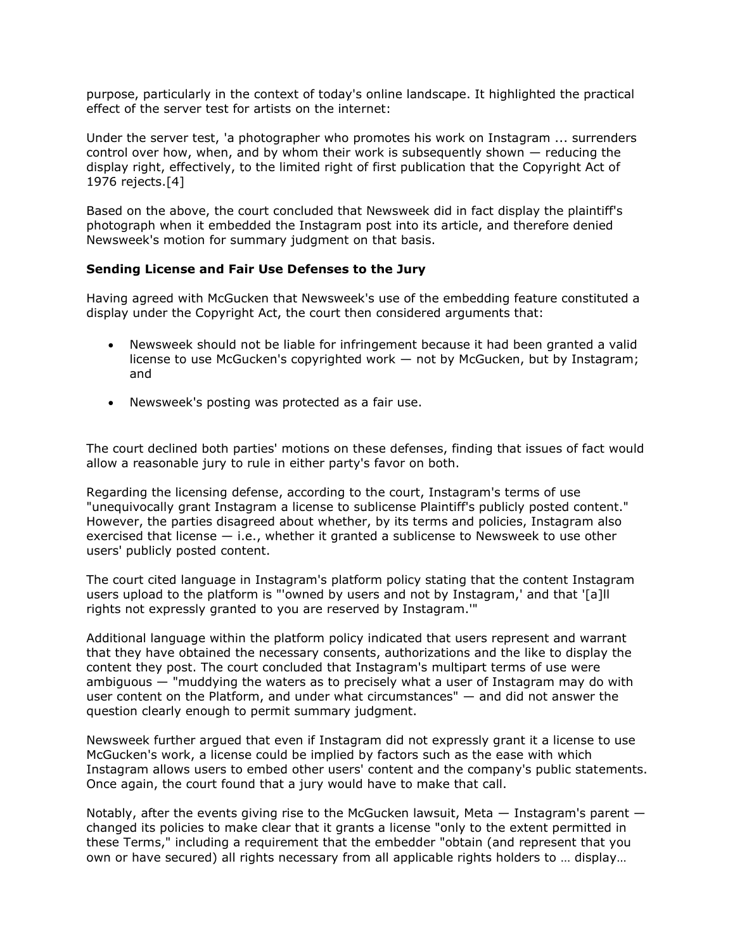purpose, particularly in the context of today's online landscape. It highlighted the practical effect of the server test for artists on the internet:

Under the server test, 'a photographer who promotes his work on Instagram ... surrenders control over how, when, and by whom their work is subsequently shown — reducing the display right, effectively, to the limited right of first publication that the Copyright Act of 1976 rejects.[4]

Based on the above, the court concluded that Newsweek did in fact display the plaintiff's photograph when it embedded the Instagram post into its article, and therefore denied Newsweek's motion for summary judgment on that basis.

#### **Sending License and Fair Use Defenses to the Jury**

Having agreed with McGucken that Newsweek's use of the embedding feature constituted a display under the Copyright Act, the court then considered arguments that:

- Newsweek should not be liable for infringement because it had been granted a valid license to use McGucken's copyrighted work — not by McGucken, but by Instagram; and
- Newsweek's posting was protected as a fair use.

The court declined both parties' motions on these defenses, finding that issues of fact would allow a reasonable jury to rule in either party's favor on both.

Regarding the licensing defense, according to the court, Instagram's terms of use "unequivocally grant Instagram a license to sublicense Plaintiff's publicly posted content." However, the parties disagreed about whether, by its terms and policies, Instagram also exercised that license — i.e., whether it granted a sublicense to Newsweek to use other users' publicly posted content.

The court cited language in Instagram's platform policy stating that the content Instagram users upload to the platform is "'owned by users and not by Instagram,' and that '[a]ll rights not expressly granted to you are reserved by Instagram.'"

Additional language within the platform policy indicated that users represent and warrant that they have obtained the necessary consents, authorizations and the like to display the content they post. The court concluded that Instagram's multipart terms of use were ambiguous — "muddying the waters as to precisely what a user of Instagram may do with user content on the Platform, and under what circumstances" — and did not answer the question clearly enough to permit summary judgment.

Newsweek further argued that even if Instagram did not expressly grant it a license to use McGucken's work, a license could be implied by factors such as the ease with which Instagram allows users to embed other users' content and the company's public statements. Once again, the court found that a jury would have to make that call.

Notably, after the events giving rise to the McGucken lawsuit, Meta  $-$  Instagram's parent  $$ changed its policies to make clear that it grants a license "only to the extent permitted in these Terms," including a requirement that the embedder "obtain (and represent that you own or have secured) all rights necessary from all applicable rights holders to … display…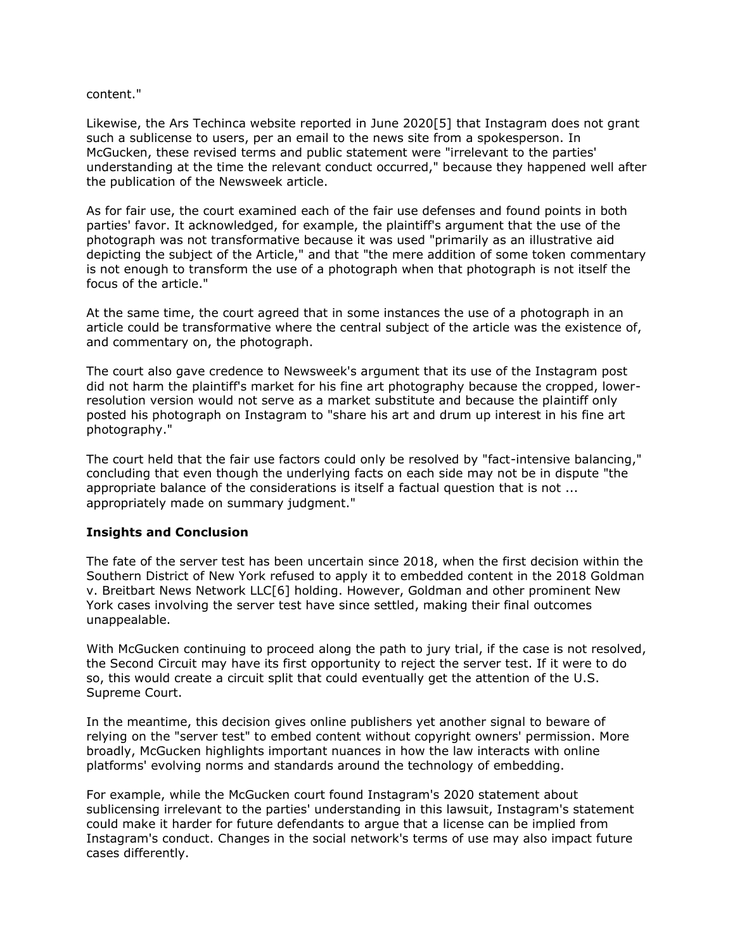#### content."

Likewise, the Ars Techinca website reported in June 2020[5] that Instagram does not grant such a sublicense to users, per an email to the news site from a spokesperson. In McGucken, these revised terms and public statement were "irrelevant to the parties' understanding at the time the relevant conduct occurred," because they happened well after the publication of the Newsweek article.

As for fair use, the court examined each of the fair use defenses and found points in both parties' favor. It acknowledged, for example, the plaintiff's argument that the use of the photograph was not transformative because it was used "primarily as an illustrative aid depicting the subject of the Article," and that "the mere addition of some token commentary is not enough to transform the use of a photograph when that photograph is not itself the focus of the article."

At the same time, the court agreed that in some instances the use of a photograph in an article could be transformative where the central subject of the article was the existence of, and commentary on, the photograph.

The court also gave credence to Newsweek's argument that its use of the Instagram post did not harm the plaintiff's market for his fine art photography because the cropped, lowerresolution version would not serve as a market substitute and because the plaintiff only posted his photograph on Instagram to "share his art and drum up interest in his fine art photography."

The court held that the fair use factors could only be resolved by "fact-intensive balancing," concluding that even though the underlying facts on each side may not be in dispute "the appropriate balance of the considerations is itself a factual question that is not ... appropriately made on summary judgment."

## **Insights and Conclusion**

The fate of the server test has been uncertain since 2018, when the first decision within the Southern District of New York refused to apply it to embedded content in the 2018 Goldman v. Breitbart News Network LLC[6] holding. However, Goldman and other prominent New York cases involving the server test have since settled, making their final outcomes unappealable.

With McGucken continuing to proceed along the path to jury trial, if the case is not resolved, the Second Circuit may have its first opportunity to reject the server test. If it were to do so, this would create a circuit split that could eventually get the attention of the [U.S.](https://www.law360.com/agencies/u-s-supreme-court)  [Supreme Court.](https://www.law360.com/agencies/u-s-supreme-court)

In the meantime, this decision gives online publishers yet another signal to beware of relying on the "server test" to embed content without copyright owners' permission. More broadly, McGucken highlights important nuances in how the law interacts with online platforms' evolving norms and standards around the technology of embedding.

For example, while the McGucken court found Instagram's 2020 statement about sublicensing irrelevant to the parties' understanding in this lawsuit, Instagram's statement could make it harder for future defendants to argue that a license can be implied from Instagram's conduct. Changes in the social network's terms of use may also impact future cases differently.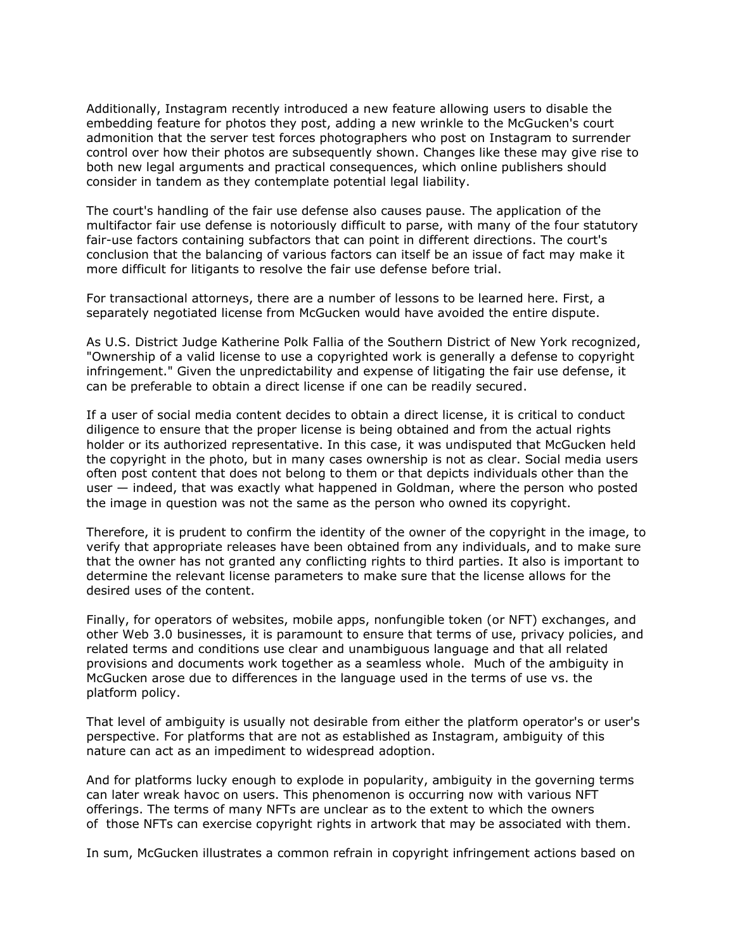Additionally, Instagram recently introduced a new feature allowing users to disable the embedding feature for photos they post, adding a new wrinkle to the McGucken's court admonition that the server test forces photographers who post on Instagram to surrender control over how their photos are subsequently shown. Changes like these may give rise to both new legal arguments and practical consequences, which online publishers should consider in tandem as they contemplate potential legal liability.

The court's handling of the fair use defense also causes pause. The application of the multifactor fair use defense is notoriously difficult to parse, with many of the four statutory fair-use factors containing subfactors that can point in different directions. The court's conclusion that the balancing of various factors can itself be an issue of fact may make it more difficult for litigants to resolve the fair use defense before trial.

For transactional attorneys, there are a number of lessons to be learned here. First, a separately negotiated license from McGucken would have avoided the entire dispute.

As U.S. District Judge Katherine Polk Fallia of the Southern District of New York recognized, "Ownership of a valid license to use a copyrighted work is generally a defense to copyright infringement." Given the unpredictability and expense of litigating the fair use defense, it can be preferable to obtain a direct license if one can be readily secured.

If a user of social media content decides to obtain a direct license, it is critical to conduct diligence to ensure that the proper license is being obtained and from the actual rights holder or its authorized representative. In this case, it was undisputed that McGucken held the copyright in the photo, but in many cases ownership is not as clear. Social media users often post content that does not belong to them or that depicts individuals other than the user — indeed, that was exactly what happened in Goldman, where the person who posted the image in question was not the same as the person who owned its copyright.

Therefore, it is prudent to confirm the identity of the owner of the copyright in the image, to verify that appropriate releases have been obtained from any individuals, and to make sure that the owner has not granted any conflicting rights to third parties. It also is important to determine the relevant license parameters to make sure that the license allows for the desired uses of the content.

Finally, for operators of websites, mobile apps, nonfungible token (or NFT) exchanges, and other Web 3.0 businesses, it is paramount to ensure that terms of use, privacy policies, and related terms and conditions use clear and unambiguous language and that all related provisions and documents work together as a seamless whole. Much of the ambiguity in McGucken arose due to differences in the language used in the terms of use vs. the platform policy.

That level of ambiguity is usually not desirable from either the platform operator's or user's perspective. For platforms that are not as established as Instagram, ambiguity of this nature can act as an impediment to widespread adoption.

And for platforms lucky enough to explode in popularity, ambiguity in the governing terms can later wreak havoc on users. This phenomenon is occurring now with various NFT offerings. The terms of many NFTs are unclear as to the extent to which the owners of those NFTs can exercise copyright rights in artwork that may be associated with them.

In sum, McGucken illustrates a common refrain in copyright infringement actions based on